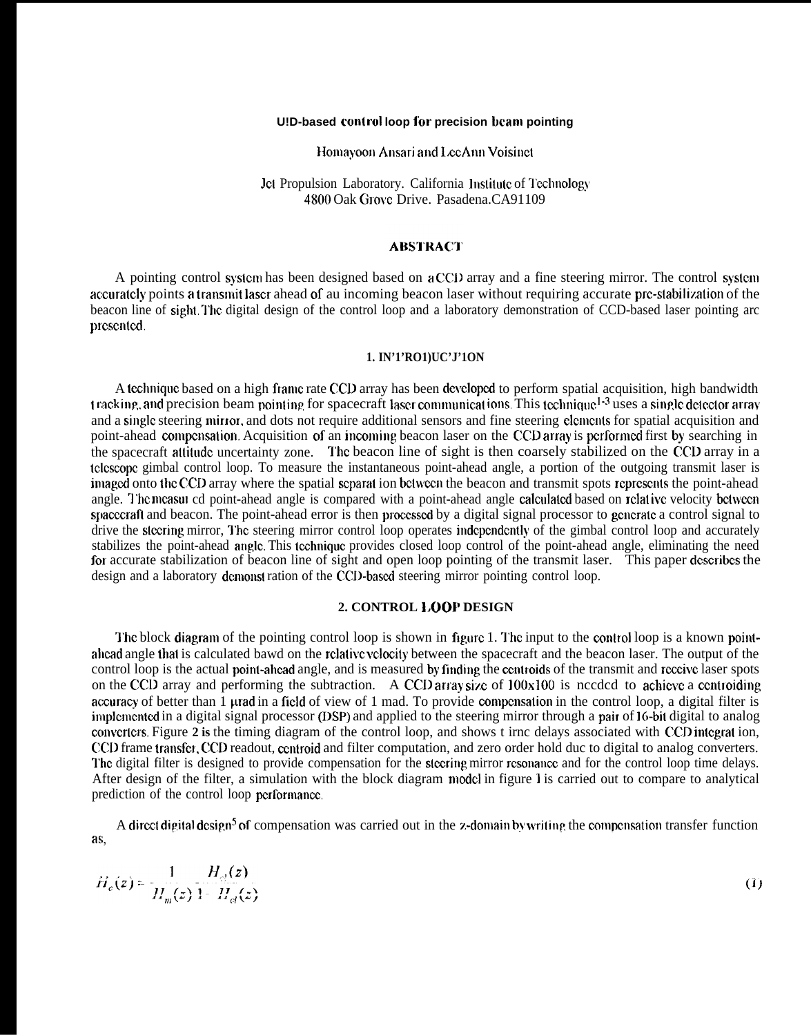#### **U!D-based control loop for precision ham pointing**

Homayoon Ansari and LeeAnn Voisinct

Jet Propulsion Laboratory. California Institute of Technology 4800 Oak Grovc Drive. Pasadena.CA91109

## **ABSTRACT**

A pointing control system has been designed based on a CCD array and a fine steering mirror. The control system accurately points a transmit laser ahead of au incoming beacon laser without requiring accurate pre-stabilization of the beacon line of sight. The digital design of the control loop and a laboratory demonstration of CCD-based laser pointing arc presented.

### **1. IN'1'RO1)UC'J'1ON**

A technique based on a high frame rate CCD array has been developed to perform spatial acquisition, high bandwidth t racking, and precision beam pointing for spacecraft laser communications. This technique<sup>1-3</sup> uses a single detector array and a single steering mirror, and dots not require additional sensors and fine steering clements for spatial acquisition and point-ahead compensation. Acquisition of an incoming beacon laser on the CCD array is performed first by searching in the spacecraft attitude uncertainty zone. The beacon line of sight is then coarsely stabilized on the CCD array in a tclcscopc gimbal control loop. To measure the instantaneous point-ahead angle, a portion of the outgoing transmit laser is imaged onto the CCD array where the spatial scparat ion between the beacon and transmit spots represents the point-ahead angle. The measured point-ahead angle is compared with a point-ahead angle calculated based on relative velocity between spacecraft and beacon. The point-ahead error is then processed by a digital signal processor to generate a control signal to drive the slccring mirror, I'hc steering mirror control loop operates indcpcndcntly of the gimbal control loop and accurately stabilizes the point-ahead auglc. This tcchniquc provides closed loop control of the point-ahead angle, eliminating the need for accurate stabilization of beacon line of sight and open loop pointing of the transmit laser. This paper describes the design and a laboratory demonst ration of the CCD-based steering mirror pointing control loop.

### **2. CONTROL 1.00P DESIGN**

The block diagram of the pointing control loop is shown in figure 1. The input to the control loop is a known pointahcad angle that is calculated bawd on the rclalivc vcbcity between the spacecraft and the beacon laser. The output of the control loop is the actual point-ahead angle, and is measured by finding the centroids of the transmit and receive laser spots on the CCD array and performing the subtraction. A CCD array size of  $100x100$  is needed to achieve a centroiding accuracy of better than 1  $\mu$ rad in a field of view of 1 mad. To provide compensation in the control loop, a digital filter is implemented in a digital signal processor (DSP) and applied to the steering mirror through a pair of 16-bit digital to analog converters. Figure 2 is the timing diagram of the control loop, and shows t irnc delays associated with CCD integrat ion, CCD frame transfer, CCD readout, centroid and filter computation, and zero order hold duc to digital to analog converters. The digital filter is designed to provide compensation for the steering mirror resonance and for the control loop time delays. After design of the filter, a simulation with the block diagram model in figure 1 is carried out to compare to analytical prediction of the control loop pcrformancc,

A direct digital design<sup>5</sup> of compensation was carried out in the z-domain by writing the compensation transfer function as.

$$
H_c(z) = \frac{1}{H_m(z)} \frac{H_c(z)}{1 - H_c(z)}
$$
(1)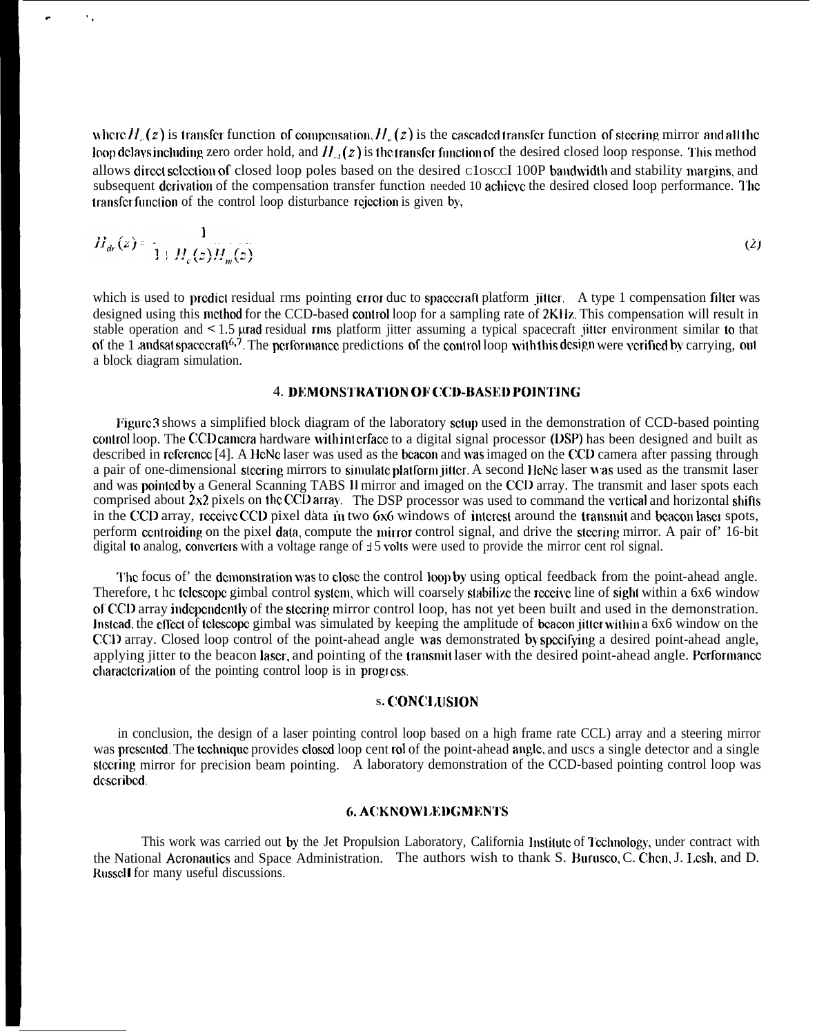where  $H_n(z)$  is transfer function of compensation,  $H_n(z)$  is the cascaded transfer function of steering mirror and all the loop dclays including zero order hold, and  $H_{\nu}(z)$  is the transfer function of the desired closed loop response. This method allows direct sclection of closed loop poles based on the desired C1osccI 100P bandwidth and stability margins, and subsequent dcrivation of the compensation transfer function needed 10 achieve the desired closed loop performance. The transfer function of the control loop disturbance rejection is given by,

 $\ddot{\phantom{a}}$ 

$$
H_{dr}(z) = \frac{1}{1 + H_c(z)H_m(z)}\tag{2}
$$

which is used to predict residual rms pointing crror duc to spacecraft platform jitter. A type 1 compensation filter was designed using this method for the CCD-based control loop for a sampling rate of 2KHz. This compensation will result in stable operation and  $\leq 1.5$  urad residual rms platform jitter assuming a typical spacecraft jitter environment similar to that of the 1 andsat spacecraft<sup>6,7</sup>. The performance predictions of the control loop with this design were verified by carrying, out a block diagram simulation.

# 4. DEMONSTRATION OF CCD-BASED POINTING

Pigurc 3 shows a simplified block diagram of the laboratory sclup used in the demonstration of CCD-based pointing control loop. The CCD camera hardware with interface to a digital signal processor (DSP) has been designed and built as described in reference [4]. A HeNe laser was used as the beacon and was imaged on the CCD camera after passing through a pair of one-dimensional steering mirrors to simulate platform jitter. A second HeNe laser was used as the transmit laser and was poinlcd by a General Scanning TABS 11 mirror and imaged on the CCD array. The transmit and laser spots each comprised about  $2x2$  pixels on the CCD array. The DSP processor was used to command the vertical and horizontal shifts in the CCD array, receive CCD pixel data in two 6x6 windows of interest around the transmit and beacon laser spots, perform centroiding on the pixel data, compute the mirror control signal, and drive the steering mirror. A pair of 16-bit digital to analog, converters with a voltage range of  $\pm 5$  volts were used to provide the mirror cent rol signal.

The focus of' the demonstration was to close the control loop by using optical feedback from the point-ahead angle. Therefore, t hc tclcscope gimbal control system, which will coarsely stabilize the receive line of sight within a 6x6 window of CCD array indcpcndcnlly of the s[ccring mirror control loop, has not yet been built and used in the demonstration. Instead, the effect of telescope gimbal was simulated by keeping the amplitude of beacon jitter within a 6x6 window on the CCD array. Closed loop control of the point-ahead angle was demonstrated by specifying a desired point-ahead angle, applying jitter to the beacon laser, and pointing of the transmit laser with the desired point-ahead angle. Performance characterization of the pointing control loop is in progress.

## **S. (:ONCJ ,US1ON**

in conclusion, the design of a laser pointing control loop based on a high frame rate CCL) array and a steering mirror was presented. The technique provides closed loop cent rol of the point-ahead angle, and uscs a single detector and a single steering mirror for precision beam pointing. A laboratory demonstration of the CCD-based pointing control loop was dcscribcd.

#### 6. ACKNOWLEDGMENTS

This work was carried out by the Jet Propulsion Laboratory, California Institute of Technology, under contract with the National Acronautics and Space Administration. The authors wish to thank S. Burusco, C. Chen, J. Lesh, and D. Russell for many useful discussions.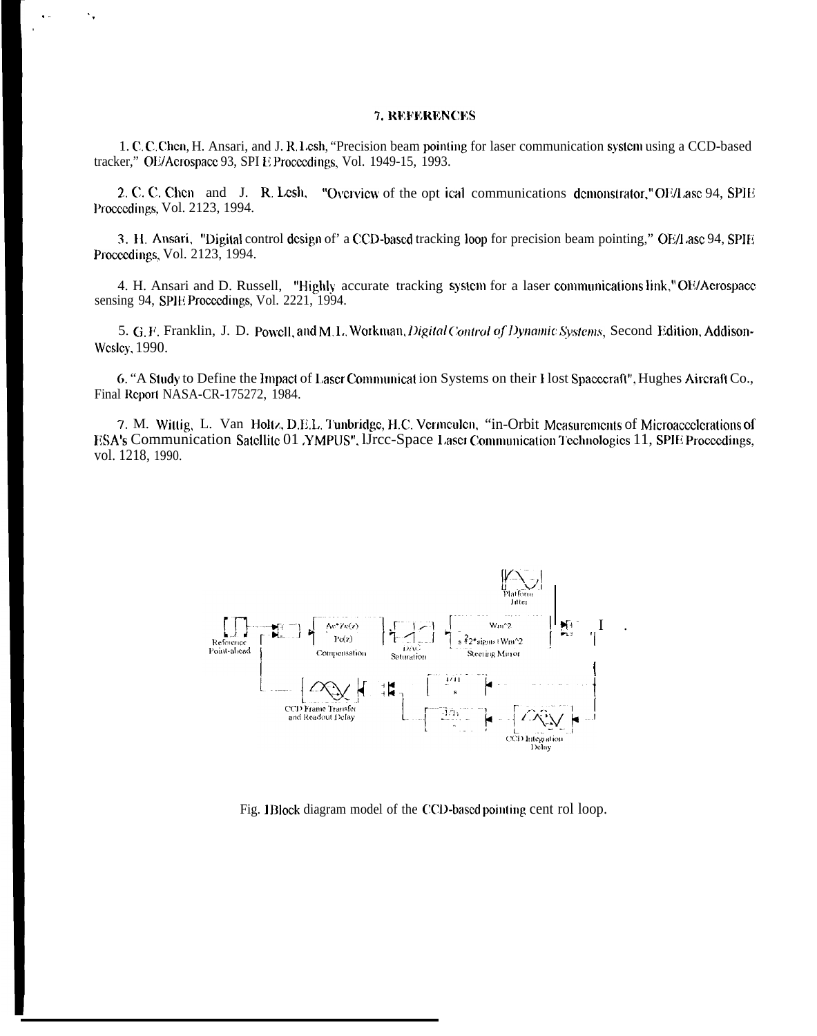# 7. REFERENCES

 $\ddot{\phantom{a}}$  ,

1. C. C. Chen, H. Ansari, and J. R. Lesh, "Precision beam pointing for laser communication system using a CCD-based tracker," OE/Acrospace 93, SPI E Proceedings, Vol. 1949-15, 1993.

2. C. C. Chen and J. R. Lesh, "Overview of the opt ical communications demonstrator," OF/Lase 94, SPIE Proceedings, Vol. 2123, 1994.

3. H. Ansari, "Digital control design of" a CCD-based tracking loop for precision beam pointing," OE/Lase 94, SPIE Proceedings, Vol. 2123, 1994.

4. H. Ansari and D. Russell, "Highly accurate tracking system for a laser communications link," OE/Aerospace sensing 94, SPIE Proceedings, Vol. 2221, 1994.

5. G.F. Franklin, J. D. Powell, and M.L. Workman, Digital Control of Dynamic Systems, Second Edition, Addison-Wesley, 1990.

6. "A Study to Define the Impact of Laser Communication Systems on their Host Spacecraft", Hughes Aircraft Co., Final Report NASA-CR-175272, 1984.

7. M. Wittig, L. Van Holtz, D.E.L. Tunbridge, H.C. Vermeulen, "in-Orbit Measurements of Microaccelerations of ESA's Communication Satellite 01 YMPUS", IJrcc-Space Laser Communication Technologies 11, SPIE Proceedings, vol. 1218, 1990.



Fig. 1Block diagram model of the CCD-based pointing cent rol loop.